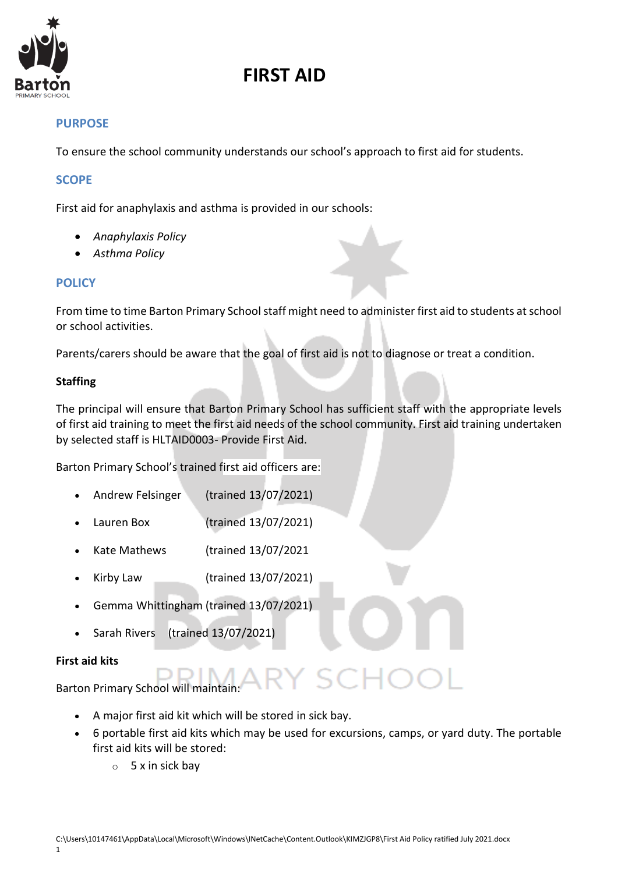

# **FIRST AID**

### **PURPOSE**

To ensure the school community understands our school's approach to first aid for students.

### **SCOPE**

First aid for anaphylaxis and asthma is provided in our schools:

- *Anaphylaxis Policy*
- *Asthma Policy*

## **POLICY**

From time to time Barton Primary School staff might need to administer first aid to students at school or school activities.

Parents/carers should be aware that the goal of first aid is not to diagnose or treat a condition.

### **Staffing**

The principal will ensure that Barton Primary School has sufficient staff with the appropriate levels of first aid training to meet the first aid needs of the school community. First aid training undertaken by selected staff is HLTAID0003- Provide First Aid.

Barton Primary School's trained first aid officers are:

- Andrew Felsinger (trained 13/07/2021)
- Lauren Box (trained 13/07/2021)
- Kate Mathews (trained 13/07/2021
- Kirby Law (trained 13/07/2021)
- Gemma Whittingham (trained 13/07/2021)
- Sarah Rivers (trained 13/07/2021)

#### **First aid kits**

Barton Primary School will maintain:

- A major first aid kit which will be stored in sick bay.
- 6 portable first aid kits which may be used for excursions, camps, or yard duty. The portable first aid kits will be stored:
	- $\circ$  5 x in sick bay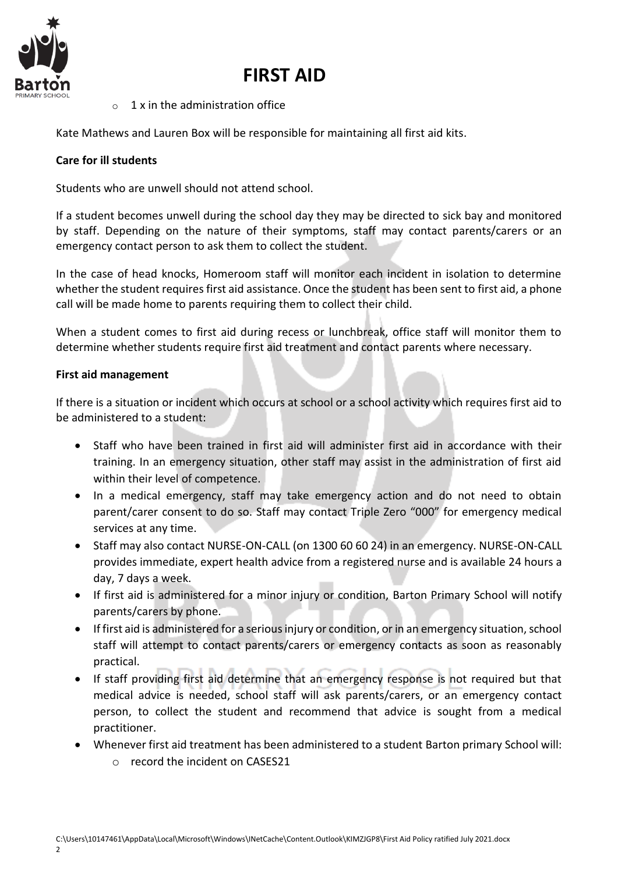

# **FIRST AID**

 $\circ$  1 x in the administration office

Kate Mathews and Lauren Box will be responsible for maintaining all first aid kits.

### **Care for ill students**

Students who are unwell should not attend school.

If a student becomes unwell during the school day they may be directed to sick bay and monitored by staff. Depending on the nature of their symptoms, staff may contact parents/carers or an emergency contact person to ask them to collect the student.

In the case of head knocks, Homeroom staff will monitor each incident in isolation to determine whether the student requires first aid assistance. Once the student has been sent to first aid, a phone call will be made home to parents requiring them to collect their child.

When a student comes to first aid during recess or lunchbreak, office staff will monitor them to determine whether students require first aid treatment and contact parents where necessary.

#### **First aid management**

If there is a situation or incident which occurs at school or a school activity which requires first aid to be administered to a student:

- Staff who have been trained in first aid will administer first aid in accordance with their training. In an emergency situation, other staff may assist in the administration of first aid within their level of competence.
- In a medical emergency, staff may take emergency action and do not need to obtain parent/carer consent to do so. Staff may contact Triple Zero "000" for emergency medical services at any time.
- Staff may also contact NURSE-ON-CALL (on 1300 60 60 24) in an emergency. NURSE-ON-CALL provides immediate, expert health advice from a registered nurse and is available 24 hours a day, 7 days a week.
- If first aid is administered for a minor injury or condition, Barton Primary School will notify parents/carers by phone.
- If first aid is administered for a serious injury or condition, or in an emergency situation, school staff will attempt to contact parents/carers or emergency contacts as soon as reasonably practical.
- If staff providing first aid determine that an emergency response is not required but that medical advice is needed, school staff will ask parents/carers, or an emergency contact person, to collect the student and recommend that advice is sought from a medical practitioner.
- Whenever first aid treatment has been administered to a student Barton primary School will:
	- o record the incident on CASES21